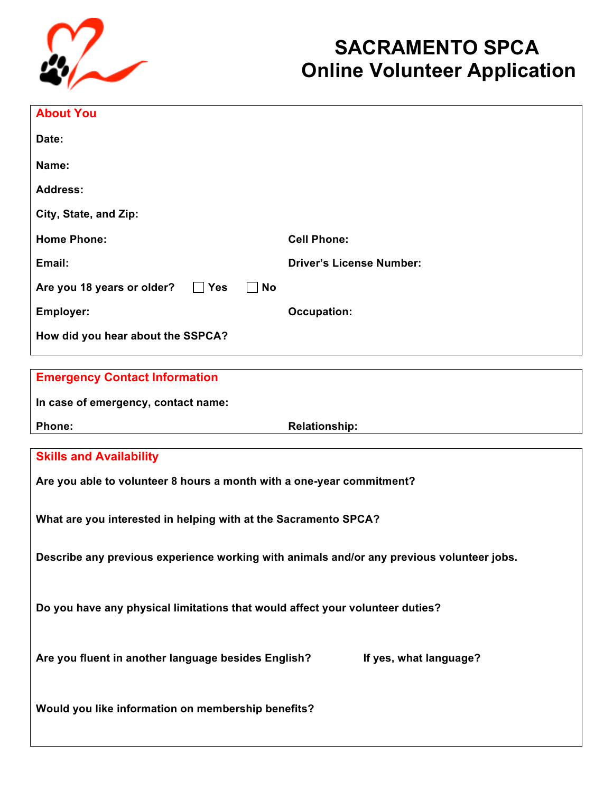

## **SACRAMENTO SPCA Online Volunteer Application**

| <b>About You</b>                                                                          |                                 |
|-------------------------------------------------------------------------------------------|---------------------------------|
| Date:                                                                                     |                                 |
| Name:                                                                                     |                                 |
| <b>Address:</b>                                                                           |                                 |
| City, State, and Zip:                                                                     |                                 |
| <b>Home Phone:</b>                                                                        | <b>Cell Phone:</b>              |
| Email:                                                                                    | <b>Driver's License Number:</b> |
| $\Box$ Yes<br>$\Box$ No<br>Are you 18 years or older?                                     |                                 |
| Employer:                                                                                 | <b>Occupation:</b>              |
| How did you hear about the SSPCA?                                                         |                                 |
|                                                                                           |                                 |
| <b>Emergency Contact Information</b>                                                      |                                 |
| In case of emergency, contact name:                                                       |                                 |
| <b>Phone:</b>                                                                             | <b>Relationship:</b>            |
| <b>Skills and Availability</b>                                                            |                                 |
| Are you able to volunteer 8 hours a month with a one-year commitment?                     |                                 |
| What are you interested in helping with at the Sacramento SPCA?                           |                                 |
|                                                                                           |                                 |
| Describe any previous experience working with animals and/or any previous volunteer jobs. |                                 |
| Do you have any physical limitations that would affect your volunteer duties?             |                                 |
| Are you fluent in another language besides English?                                       | If yes, what language?          |